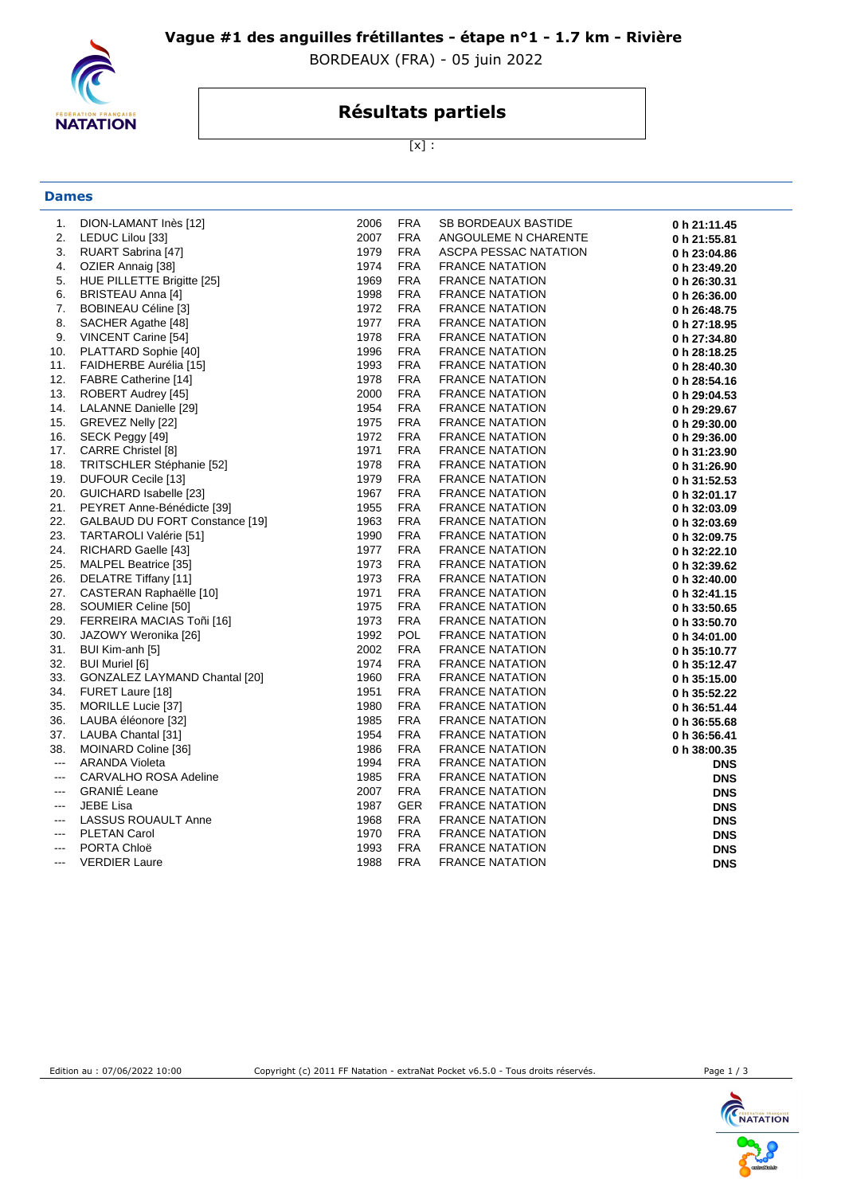

**Dames**

### **Vague #1 des anguilles frétillantes - étape n°1 - 1.7 km - Rivière**

BORDEAUX (FRA) - 05 juin 2022

## **Résultats partiels**

[x] :

| 1.                       | DION-LAMANT Inès [12]          | 2006 | <b>FRA</b> | SB BORDEAUX BASTIDE    | 0 h 21:11.45 |
|--------------------------|--------------------------------|------|------------|------------------------|--------------|
| 2.                       | LEDUC Lilou [33]               | 2007 | <b>FRA</b> | ANGOULEME N CHARENTE   | 0 h 21:55.81 |
| 3.                       | RUART Sabrina [47]             | 1979 | <b>FRA</b> | ASCPA PESSAC NATATION  | 0 h 23:04.86 |
| 4.                       | OZIER Annaig [38]              | 1974 | <b>FRA</b> | <b>FRANCE NATATION</b> | 0 h 23:49.20 |
| 5.                       | HUE PILLETTE Brigitte [25]     | 1969 | <b>FRA</b> | <b>FRANCE NATATION</b> | 0 h 26:30.31 |
| 6.                       | BRISTEAU Anna [4]              | 1998 | <b>FRA</b> | <b>FRANCE NATATION</b> | 0 h 26:36.00 |
| 7.                       | BOBINEAU Céline [3]            | 1972 | <b>FRA</b> | <b>FRANCE NATATION</b> | 0 h 26:48.75 |
| 8.                       | SACHER Agathe [48]             | 1977 | <b>FRA</b> | <b>FRANCE NATATION</b> | 0 h 27:18.95 |
| 9.                       | VINCENT Carine [54]            | 1978 | <b>FRA</b> | <b>FRANCE NATATION</b> | 0 h 27:34.80 |
| 10.                      | PLATTARD Sophie [40]           | 1996 | <b>FRA</b> | <b>FRANCE NATATION</b> | 0 h 28:18.25 |
| 11.                      | FAIDHERBE Aurélia [15]         | 1993 | <b>FRA</b> | <b>FRANCE NATATION</b> | 0 h 28:40.30 |
| 12.                      | <b>FABRE Catherine [14]</b>    | 1978 | <b>FRA</b> | <b>FRANCE NATATION</b> | 0 h 28:54.16 |
| 13.                      | ROBERT Audrey [45]             | 2000 | <b>FRA</b> | <b>FRANCE NATATION</b> | 0 h 29:04.53 |
| 14.                      | LALANNE Danielle [29]          | 1954 | <b>FRA</b> | <b>FRANCE NATATION</b> | 0 h 29:29.67 |
| 15.                      | GREVEZ Nelly [22]              | 1975 | <b>FRA</b> | <b>FRANCE NATATION</b> | 0 h 29:30.00 |
| 16.                      | SECK Peggy [49]                | 1972 | <b>FRA</b> | <b>FRANCE NATATION</b> | 0 h 29:36.00 |
| 17.                      | CARRE Christel [8]             | 1971 | <b>FRA</b> | <b>FRANCE NATATION</b> | 0 h 31:23.90 |
| 18.                      | TRITSCHLER Stéphanie [52]      | 1978 | <b>FRA</b> | <b>FRANCE NATATION</b> | 0 h 31:26.90 |
| 19.                      | DUFOUR Cecile [13]             | 1979 | <b>FRA</b> | <b>FRANCE NATATION</b> | 0 h 31:52.53 |
| 20.                      | GUICHARD Isabelle [23]         | 1967 | FRA        | <b>FRANCE NATATION</b> | 0 h 32:01.17 |
| 21.                      | PEYRET Anne-Bénédicte [39]     | 1955 | FRA        | <b>FRANCE NATATION</b> | 0 h 32:03.09 |
| 22.                      | GALBAUD DU FORT Constance [19] | 1963 | <b>FRA</b> | <b>FRANCE NATATION</b> | 0 h 32:03.69 |
| 23.                      | TARTAROLI Valérie [51]         | 1990 | <b>FRA</b> | <b>FRANCE NATATION</b> | 0 h 32:09.75 |
| 24.                      | RICHARD Gaelle [43]            | 1977 | <b>FRA</b> | <b>FRANCE NATATION</b> | 0 h 32:22.10 |
| 25.                      | MALPEL Beatrice [35]           | 1973 | <b>FRA</b> | <b>FRANCE NATATION</b> | 0 h 32:39.62 |
| 26.                      | DELATRE Tiffany [11]           | 1973 | <b>FRA</b> | <b>FRANCE NATATION</b> | 0 h 32:40.00 |
| 27.                      | CASTERAN Raphaëlle [10]        | 1971 | <b>FRA</b> | <b>FRANCE NATATION</b> | 0 h 32:41.15 |
| 28.                      | SOUMIER Celine [50]            | 1975 | <b>FRA</b> | <b>FRANCE NATATION</b> | 0 h 33:50.65 |
| 29.                      | FERREIRA MACIAS Toñi [16]      | 1973 | <b>FRA</b> | <b>FRANCE NATATION</b> | 0 h 33:50.70 |
| 30.                      | JAZOWY Weronika [26]           | 1992 | POL        | <b>FRANCE NATATION</b> | 0 h 34:01.00 |
| 31.                      | BUI Kim-anh [5]                | 2002 | <b>FRA</b> | <b>FRANCE NATATION</b> | 0 h 35:10.77 |
| 32.                      | <b>BUI Muriel [6]</b>          | 1974 | <b>FRA</b> | <b>FRANCE NATATION</b> | 0 h 35:12.47 |
| 33.                      | GONZALEZ LAYMAND Chantal [20]  | 1960 | <b>FRA</b> | <b>FRANCE NATATION</b> | 0 h 35:15.00 |
| 34.                      | FURET Laure [18]               | 1951 | <b>FRA</b> | <b>FRANCE NATATION</b> | 0 h 35:52.22 |
| 35.                      | MORILLE Lucie [37]             | 1980 | <b>FRA</b> | <b>FRANCE NATATION</b> | 0 h 36:51.44 |
| 36.                      | LAUBA éléonore [32]            | 1985 | <b>FRA</b> | <b>FRANCE NATATION</b> | 0 h 36:55.68 |
| 37.                      | LAUBA Chantal [31]             | 1954 | <b>FRA</b> | <b>FRANCE NATATION</b> | 0 h 36:56.41 |
| 38.                      | MOINARD Coline [36]            | 1986 | <b>FRA</b> | <b>FRANCE NATATION</b> | 0 h 38:00.35 |
| $\frac{1}{2}$            | <b>ARANDA Violeta</b>          | 1994 | <b>FRA</b> | <b>FRANCE NATATION</b> | <b>DNS</b>   |
| $--$                     | CARVALHO ROSA Adeline          | 1985 | <b>FRA</b> | <b>FRANCE NATATION</b> | <b>DNS</b>   |
| $\qquad \qquad \cdots$   | <b>GRANIE</b> Leane            | 2007 | <b>FRA</b> | <b>FRANCE NATATION</b> | <b>DNS</b>   |
| $\overline{\phantom{a}}$ | <b>JEBE Lisa</b>               | 1987 | <b>GER</b> | <b>FRANCE NATATION</b> | <b>DNS</b>   |
| $\overline{\phantom{a}}$ | <b>LASSUS ROUAULT Anne</b>     | 1968 | <b>FRA</b> | <b>FRANCE NATATION</b> | <b>DNS</b>   |
| $---$                    | <b>PLETAN Carol</b>            | 1970 | <b>FRA</b> | <b>FRANCE NATATION</b> | <b>DNS</b>   |
| $\overline{a}$           | PORTA Chloë                    | 1993 | <b>FRA</b> | <b>FRANCE NATATION</b> | <b>DNS</b>   |
| $---$                    | <b>VERDIER Laure</b>           | 1988 | <b>FRA</b> | <b>FRANCE NATATION</b> | <b>DNS</b>   |



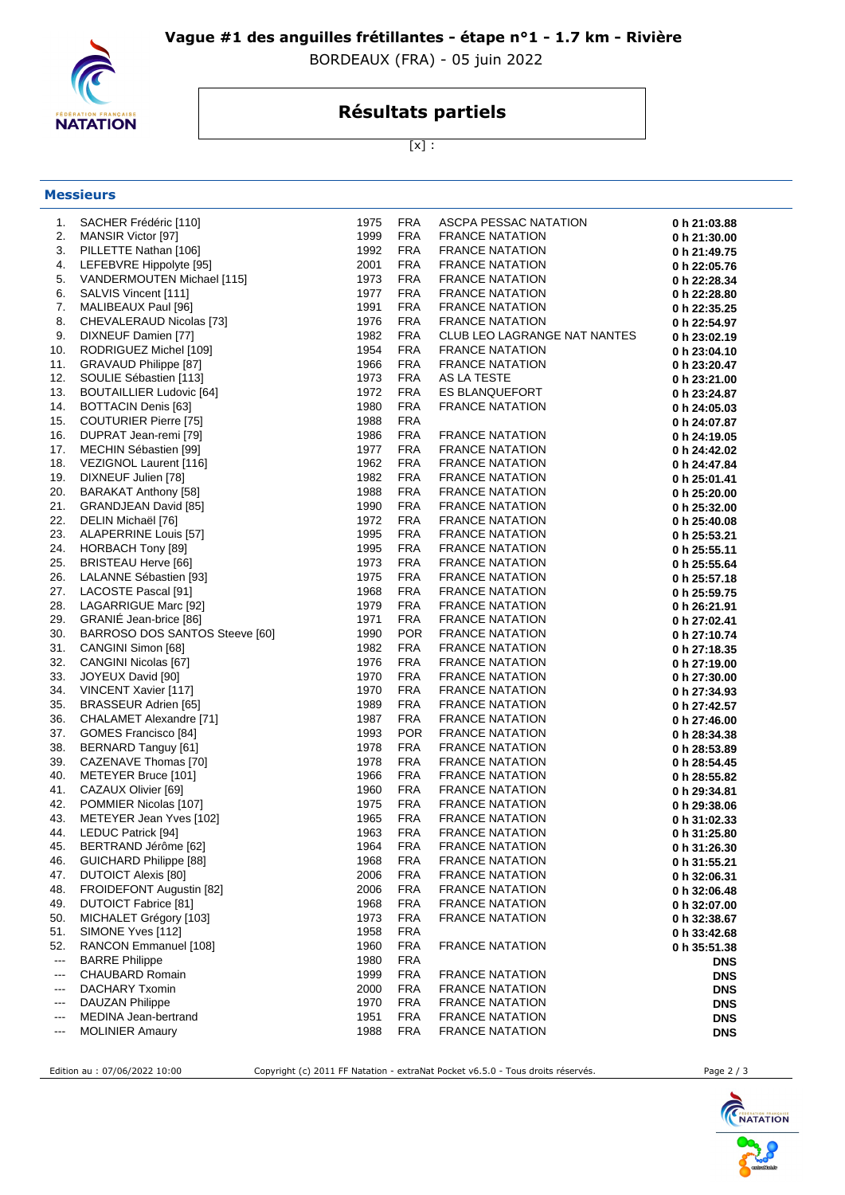

### **Vague #1 des anguilles frétillantes - étape n°1 - 1.7 km - Rivière**

BORDEAUX (FRA) - 05 juin 2022

# **Résultats partiels**

 $[x]$  :

| <b>Messieurs</b> |
|------------------|
|------------------|

| 1.       | SACHER Frédéric [110]                          | 1975         | <b>FRA</b>               | ASCPA PESSAC NATATION                            | 0 h 21:03.88 |
|----------|------------------------------------------------|--------------|--------------------------|--------------------------------------------------|--------------|
| 2.       | <b>MANSIR Victor [97]</b>                      | 1999         | <b>FRA</b>               | <b>FRANCE NATATION</b>                           | 0 h 21:30.00 |
| 3.       | PILLETTE Nathan [106]                          | 1992         | <b>FRA</b>               | <b>FRANCE NATATION</b>                           | 0 h 21:49.75 |
| 4.       | LEFEBVRE Hippolyte [95]                        | 2001         | <b>FRA</b>               | <b>FRANCE NATATION</b>                           | 0 h 22:05.76 |
| 5.       | VANDERMOUTEN Michael [115]                     | 1973         | <b>FRA</b>               | <b>FRANCE NATATION</b>                           | 0 h 22:28.34 |
| 6.       | SALVIS Vincent [111]                           | 1977         | <b>FRA</b>               | <b>FRANCE NATATION</b>                           | 0 h 22:28.80 |
| 7.       | MALIBEAUX Paul [96]                            | 1991         | <b>FRA</b>               | <b>FRANCE NATATION</b>                           | 0 h 22:35.25 |
| 8.       | CHEVALERAUD Nicolas [73]                       | 1976         | <b>FRA</b>               | <b>FRANCE NATATION</b>                           | 0 h 22:54.97 |
| 9.       | DIXNEUF Damien [77]                            | 1982         | <b>FRA</b>               | CLUB LEO LAGRANGE NAT NANTES                     | 0 h 23:02.19 |
| 10.      | RODRIGUEZ Michel [109]                         | 1954         | <b>FRA</b>               | <b>FRANCE NATATION</b>                           | 0 h 23:04.10 |
| 11.      | GRAVAUD Philippe [87]                          | 1966         | <b>FRA</b>               | <b>FRANCE NATATION</b>                           | 0 h 23:20.47 |
| 12.      | SOULIE Sébastien [113]                         | 1973         | <b>FRA</b>               | AS LA TESTE                                      | 0 h 23:21.00 |
| 13.      | <b>BOUTAILLIER Ludovic [64]</b>                | 1972         | <b>FRA</b>               | <b>ES BLANQUEFORT</b>                            | 0 h 23:24.87 |
| 14.      | <b>BOTTACIN Denis [63]</b>                     | 1980         | <b>FRA</b>               | <b>FRANCE NATATION</b>                           | 0 h 24:05.03 |
| 15.      | <b>COUTURIER Pierre [75]</b>                   | 1988         | <b>FRA</b>               |                                                  | 0 h 24:07.87 |
| 16.      | DUPRAT Jean-remi [79]                          | 1986         | <b>FRA</b>               | <b>FRANCE NATATION</b>                           | 0 h 24:19.05 |
| 17.      | MECHIN Sébastien [99]                          | 1977         | <b>FRA</b>               | <b>FRANCE NATATION</b>                           | 0 h 24:42.02 |
| 18.      | VEZIGNOL Laurent [116]                         | 1962         | <b>FRA</b>               | <b>FRANCE NATATION</b>                           | 0 h 24:47.84 |
| 19.      | DIXNEUF Julien [78]                            | 1982         | <b>FRA</b>               | <b>FRANCE NATATION</b>                           | 0 h 25:01.41 |
| 20.      | BARAKAT Anthony [58]                           | 1988         | <b>FRA</b>               | <b>FRANCE NATATION</b>                           | 0 h 25:20.00 |
| 21.      | GRANDJEAN David [85]                           | 1990         | <b>FRA</b>               | <b>FRANCE NATATION</b>                           | 0 h 25:32.00 |
| 22.      | DELIN Michaël [76]                             | 1972         | <b>FRA</b>               | <b>FRANCE NATATION</b>                           | 0 h 25:40.08 |
| 23.      | ALAPERRINE Louis [57]                          | 1995         | <b>FRA</b>               | <b>FRANCE NATATION</b>                           | 0 h 25:53.21 |
| 24.      | HORBACH Tony [89]                              | 1995         | <b>FRA</b>               | <b>FRANCE NATATION</b>                           | 0 h 25:55.11 |
| 25.      | BRISTEAU Herve [66]                            | 1973         | <b>FRA</b>               | <b>FRANCE NATATION</b>                           | 0 h 25:55.64 |
| 26.      | LALANNE Sébastien [93]                         | 1975         | <b>FRA</b>               | <b>FRANCE NATATION</b>                           | 0 h 25:57.18 |
| 27.      | LACOSTE Pascal [91]                            | 1968         | <b>FRA</b>               | <b>FRANCE NATATION</b>                           | 0 h 25:59.75 |
| 28.      | LAGARRIGUE Marc [92]                           | 1979         | <b>FRA</b>               | <b>FRANCE NATATION</b>                           | 0 h 26:21.91 |
| 29.      | GRANIE Jean-brice [86]                         | 1971         | <b>FRA</b>               | <b>FRANCE NATATION</b>                           | 0 h 27:02.41 |
| 30.      | BARROSO DOS SANTOS Steeve [60]                 | 1990         | <b>POR</b>               | <b>FRANCE NATATION</b>                           | 0 h 27:10.74 |
| 31.      | CANGINI Simon [68]                             | 1982         | <b>FRA</b>               | <b>FRANCE NATATION</b>                           | 0 h 27:18.35 |
| 32.      | CANGINI Nicolas [67]                           | 1976         | <b>FRA</b>               | <b>FRANCE NATATION</b>                           | 0 h 27:19.00 |
| 33.      | JOYEUX David [90]                              | 1970         | <b>FRA</b>               | <b>FRANCE NATATION</b>                           | 0 h 27:30.00 |
| 34.      | VINCENT Xavier [117]                           | 1970         | <b>FRA</b>               | <b>FRANCE NATATION</b>                           | 0 h 27:34.93 |
| 35.      | BRASSEUR Adrien [65]                           | 1989         | <b>FRA</b>               | <b>FRANCE NATATION</b>                           | 0 h 27:42.57 |
| 36.      | CHALAMET Alexandre [71]                        | 1987         | <b>FRA</b>               | <b>FRANCE NATATION</b>                           | 0 h 27:46.00 |
| 37.      | GOMES Francisco [84]                           | 1993         | <b>POR</b>               | <b>FRANCE NATATION</b>                           | 0 h 28:34.38 |
| 38.      | BERNARD Tanguy [61]                            | 1978         | <b>FRA</b>               | <b>FRANCE NATATION</b>                           | 0 h 28:53.89 |
| 39.      | CAZENAVE Thomas [70]                           | 1978         | <b>FRA</b>               | <b>FRANCE NATATION</b>                           | 0 h 28:54.45 |
| 40.      | METEYER Bruce [101]                            | 1966         | <b>FRA</b>               | <b>FRANCE NATATION</b>                           | 0 h 28:55.82 |
| 41.      | CAZAUX Olivier [69]                            | 1960         | <b>FRA</b>               | <b>FRANCE NATATION</b>                           | 0 h 29:34.81 |
| 42.      | POMMIER Nicolas [107]                          | 1975         | <b>FRA</b>               | <b>FRANCE NATATION</b>                           | 0 h 29:38.06 |
| 43.      | METEYER Jean Yves [102]                        | 1965         | <b>FRA</b>               | <b>FRANCE NATATION</b>                           | 0 h 31:02.33 |
| 44.      | LEDUC Patrick [94]                             | 1963         | <b>FRA</b>               | <b>FRANCE NATATION</b>                           | 0 h 31:25.80 |
| 45.      | BERTRAND Jérôme [62]                           | 1964         | <b>FRA</b>               | <b>FRANCE NATATION</b>                           | 0 h 31:26.30 |
| 46.      | <b>GUICHARD Philippe [88]</b>                  | 1968         | <b>FRA</b>               | <b>FRANCE NATATION</b>                           | 0 h 31:55.21 |
| 47.      | <b>DUTOICT Alexis [80]</b>                     | 2006         | <b>FRA</b>               | <b>FRANCE NATATION</b>                           | 0 h 32:06.31 |
| 48.      | FROIDEFONT Augustin [82]                       | 2006         | <b>FRA</b>               | <b>FRANCE NATATION</b>                           | 0 h 32:06.48 |
| 49.      | <b>DUTOICT Fabrice [81]</b>                    | 1968         | <b>FRA</b>               | <b>FRANCE NATATION</b>                           | 0 h 32:07.00 |
| 50.      | MICHALET Grégory [103]                         | 1973         | <b>FRA</b>               | <b>FRANCE NATATION</b>                           | 0 h 32:38.67 |
| 51.      | SIMONE Yves [112]                              | 1958         | <b>FRA</b>               |                                                  | 0 h 33:42.68 |
| 52.      | RANCON Emmanuel [108]                          | 1960         | <b>FRA</b>               | <b>FRANCE NATATION</b>                           | 0 h 35:51.38 |
| $\cdots$ | <b>BARRE Philippe</b>                          | 1980         | <b>FRA</b>               |                                                  | <b>DNS</b>   |
| $--$     | CHAUBARD Romain                                | 1999         | <b>FRA</b>               | <b>FRANCE NATATION</b>                           | <b>DNS</b>   |
| ---      | <b>DACHARY Txomin</b>                          | 2000         | <b>FRA</b>               | <b>FRANCE NATATION</b>                           | <b>DNS</b>   |
| ---      | <b>DAUZAN Philippe</b><br>MEDINA Jean-bertrand | 1970         | <b>FRA</b><br><b>FRA</b> | <b>FRANCE NATATION</b>                           | <b>DNS</b>   |
| $--$     | <b>MOLINIER Amaury</b>                         | 1951<br>1988 | <b>FRA</b>               | <b>FRANCE NATATION</b><br><b>FRANCE NATATION</b> | <b>DNS</b>   |
| ---      |                                                |              |                          |                                                  | <b>DNS</b>   |

Edition au : 07/06/2022 10:00 Copyright (c) 2011 FF Natation - extraNat Pocket v6.5.0 - Tous droits réservés. Page 2 / 3